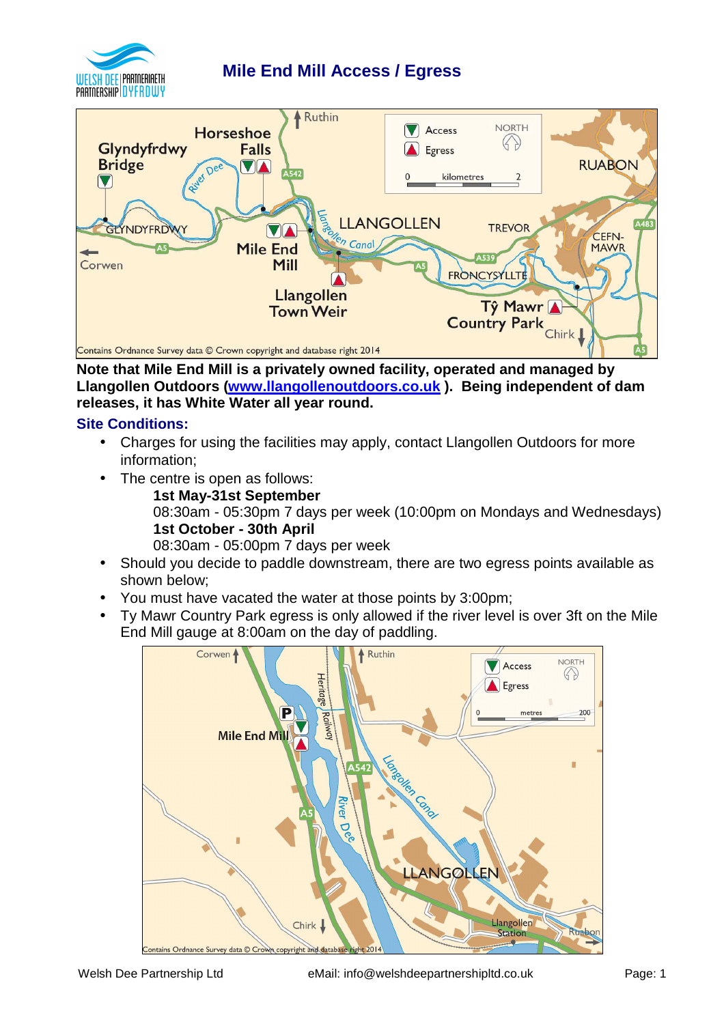

# **Mile End Mill Access / Egress**



**Note that Mile End Mill is a privately owned facility, operated and managed by Llangollen Outdoors (www.llangollenoutdoors.co.uk ). Being independent of dam releases, it has White Water all year round.** 

## **Site Conditions:**

- Charges for using the facilities may apply, contact Llangollen Outdoors for more information;
- The centre is open as follows:
	- **1st May-31st September**

08:30am - 05:30pm 7 days per week (10:00pm on Mondays and Wednesdays) **1st October - 30th April**

08:30am - 05:00pm 7 days per week

- Should you decide to paddle downstream, there are two egress points available as shown below;
- You must have vacated the water at those points by 3:00pm;
- Ty Mawr Country Park egress is only allowed if the river level is over 3ft on the Mile End Mill gauge at 8:00am on the day of paddling.

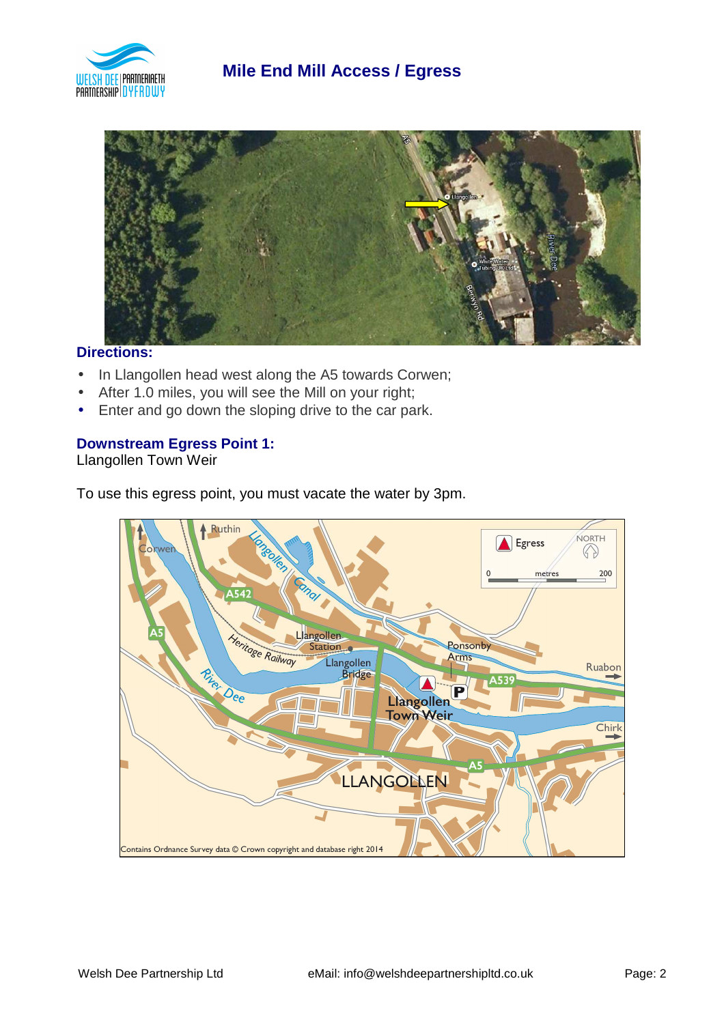



#### **Directions:**

- In Llangollen head west along the A5 towards Corwen;
- After 1.0 miles, you will see the Mill on your right;
- Enter and go down the sloping drive to the car park.

#### **Downstream Egress Point 1:**

Llangollen Town Weir

To use this egress point, you must vacate the water by 3pm.

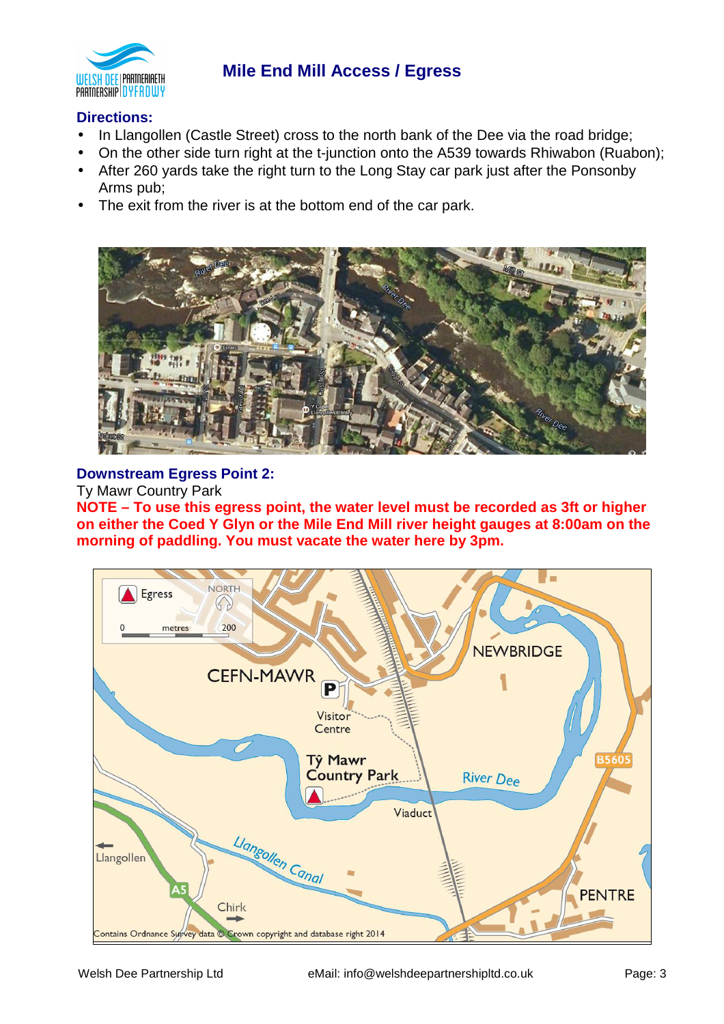![](_page_2_Picture_0.jpeg)

# **Mile End Mill Access / Egress**

## **Directions:**

- In Llangollen (Castle Street) cross to the north bank of the Dee via the road bridge;
- On the other side turn right at the t-junction onto the A539 towards Rhiwabon (Ruabon);
- After 260 yards take the right turn to the Long Stay car park just after the Ponsonby Arms pub;
- The exit from the river is at the bottom end of the car park.

![](_page_2_Picture_7.jpeg)

#### **Downstream Egress Point 2:**

Ty Mawr Country Park

**NOTE – To use this egress point, the water level must be recorded as 3ft or higher on either the Coed Y Glyn or the Mile End Mill river height gauges at 8:00am on the morning of paddling. You must vacate the water here by 3pm.** 

![](_page_2_Figure_11.jpeg)